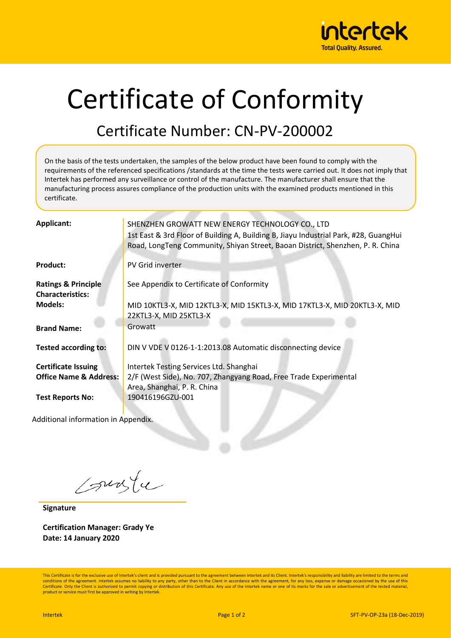

## Certificate of Conformity

## Certificate Number: CN-PV-200002

On the basis of the tests undertaken, the samples of the below product have been found to comply with the requirements of the referenced specifications /standards at the time the tests were carried out. It does not imply that Intertek has performed any surveillance or control of the manufacture. The manufacturer shall ensure that the manufacturing process assures compliance of the production units with the examined products mentioned in this certificate.

| <b>Applicant:</b>                   | SHENZHEN GROWATT NEW ENERGY TECHNOLOGY CO., LTD                                      |
|-------------------------------------|--------------------------------------------------------------------------------------|
|                                     | 1st East & 3rd Floor of Building A, Building B, Jiayu Industrial Park, #28, GuangHui |
|                                     | Road, LongTeng Community, Shiyan Street, Baoan District, Shenzhen, P. R. China       |
|                                     |                                                                                      |
| <b>Product:</b>                     | PV Grid inverter                                                                     |
|                                     |                                                                                      |
| <b>Ratings &amp; Principle</b>      | See Appendix to Certificate of Conformity                                            |
| <b>Characteristics:</b>             |                                                                                      |
| <b>Models:</b>                      | MID 10KTL3-X, MID 12KTL3-X, MID 15KTL3-X, MID 17KTL3-X, MID 20KTL3-X, MID            |
|                                     | 22KTL3-X, MID 25KTL3-X                                                               |
| <b>Brand Name:</b>                  | Growatt                                                                              |
|                                     |                                                                                      |
| <b>Tested according to:</b>         | DIN V VDE V 0126-1-1:2013.08 Automatic disconnecting device                          |
|                                     |                                                                                      |
| <b>Certificate Issuing</b>          | Intertek Testing Services Ltd. Shanghai                                              |
| <b>Office Name &amp; Address:</b>   | 2/F (West Side), No. 707, Zhangyang Road, Free Trade Experimental                    |
|                                     | Area, Shanghai, P. R. China                                                          |
| <b>Test Reports No:</b>             | 190416196GZU-001                                                                     |
|                                     |                                                                                      |
| Additional information in Appendix. |                                                                                      |
|                                     |                                                                                      |
|                                     |                                                                                      |
|                                     |                                                                                      |

Courte

**Signature**

**Certification Manager: Grady Ye Date: 14 January 2020**

This Certificate is for the exclusive use of Intertek's client and is provided pursuant to the agreement between Intertek and its Client. Intertek's responsibility and liability are limited to the terms and conditions of the agreement. Intertek assumes no liability to any party, other than to the Client in accordance with the agreement, for any loss, expense or damage occasioned by the use of this Certificate. Only the Client is authorized to permit copying or distribution of this Certificate. Any use of the Intertek name or one of its marks for the sale or advertisement of the tested material product or service must first be approved in writing by Intertek.